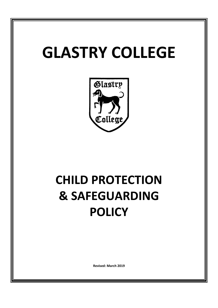# **GLASTRY COLLEGE**



# **CHILD PROTECTION & SAFEGUARDING POLICY**

**Revised: March 2019**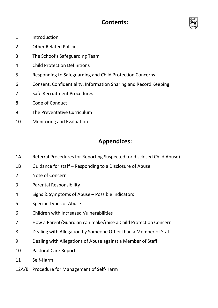# **Contents:**



- 1 Introduction
- 2 Other Related Policies
- 3 The School's Safeguarding Team
- 4 Child Protection Definitions
- 5 Responding to Safeguarding and Child Protection Concerns
- 6 Consent, Confidentiality, Information Sharing and Record Keeping
- 7 Safe Recruitment Procedures
- 8 Code of Conduct
- 9 The Preventative Curriculum
- 10 Monitoring and Evaluation

# **Appendices:**

- 1A Referral Procedures for Reporting Suspected (or disclosed Child Abuse)
- 1B Guidance for staff – Responding to a Disclosure of Abuse
- 2 Note of Concern
- 3 Parental Responsibility
- 4 Signs & Symptoms of Abuse – Possible Indicators
- 5 Specific Types of Abuse
- 6 Children with Increased Vulnerabilities
- 7 How a Parent/Guardian can make/raise a Child Protection Concern
- 8 Dealing with Allegation by Someone Other than a Member of Staff
- 9 Dealing with Allegations of Abuse against a Member of Staff
- 10 Pastoral Care Report
- 11 Self-Harm
- 12A/B Procedure for Management of Self-Harm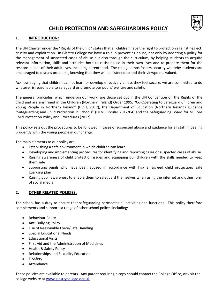

## **CHILD PROTECTION AND SAFEGUARDING POLICY**

## **1. INTRODUCTION:**

The UN Charter under the "Rights of the Child" states that all children have the right to protection against neglect, cruelty and exploitation. In Glastry College we have a role in preventing abuse, not only by adopting a policy for the management of suspected cases of abuse but also through the curriculum, by helping students to acquire relevant information, skills and attitudes both to resist abuse in their own lives and to prepare them for the responsibilities of their adult lives, including parenthood. The college ethos fosters security whereby students are encouraged to discuss problems, knowing that they will be listened to and their viewpoints valued.

Acknowledging that children cannot learn or develop effectively unless they feel secure, we are committed to do whatever is reasonable to safeguard or promote our pupils' welfare and safety.

The general principles, which underpin our work, are those set out in the UN Convention on the Rights of the Child and are enshrined in the Children (Northern Ireland) Order 1995, "Co-Operating to Safeguard Children and Young People in Northern Ireland" (DOH, 2017), the Department of Education (Northern Ireland) guidance "Safeguarding and Child Protection in Schools" (DENI Circular 2017/04) and the Safeguarding Board for NI Core Child Protection Policy and Procedures (2017).

This policy sets out the procedures to be followed in cases of suspected abuse and guidance for all staff in dealing prudently with the young people in our charge.

The main elements to our policy are:

- Establishing a safe environment in which children can learn
- Developing and implementing procedures for identifying and reporting cases or suspected cases of abuse
- Raising awareness of child protection issues and equipping our children with the skills needed to keep them safe
- Supporting pupils who have been abused in accordance with his/her agreed child protection/ safe guarding plan
- Raising pupil awareness to enable them to safeguard themselves when using the internet and other form of social media

## **2. OTHER RELATED POLICIES:**

The school has a duty to ensure that safeguarding permeates all activities and functions. This policy therefore complements and supports a range of other school polices including:

- Behaviour Policy
- Anti-Bullying Policy
- Use of Reasonable Force/Safe Handling
- Special Educational Needs
- Educational Visits
- First Aid and the Administration of Medicines
- Health & Safety Policy
- Relationships and Sexuality Education
- E-Safety
- Attendance

These policies are available to parents. Any parent requiring a copy should contact the College Office, or visit the college website a[t www.glastrycollege.org.uk](http://www.glastrycollege.org.uk/)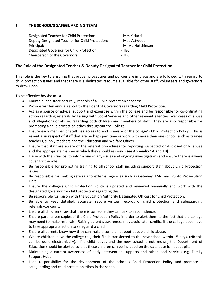## **3. THE SCHOOL'S SAFEGUARDING TEAM**

| Designated Teacher for Child Protection:        | - Mrs K Harris      |
|-------------------------------------------------|---------------------|
| Deputy Designated Teacher for Child Protection: | - Ms J Attwood      |
| Principal:                                      | - Mr A J Hutchinson |
| Designated Governor for Child Protection:       | - TBC -             |
| Chairperson of the Governors:                   | - TBC               |

## **The Role of the Designated Teacher & Deputy Designated Teacher for Child Protection**

This role is the key to ensuring that proper procedures and policies are in place and are followed with regard to child protection issues and that there is a dedicated resource available for other staff, volunteers and governors to draw upon.

To be effective he/she must:

- Maintain, and store securely, records of all Child protection concerns.
- Provide written annual report to the Board of Governors regarding Child Protection.
- Act as a source of advice, support and expertise within the college and be responsible for co-ordinating action regarding referrals by liaising with Social Services and other relevant agencies over cases of abuse and allegations of abuse, regarding both children and members of staff. They are also responsible for promoting a child protection ethos throughout the College.
- Ensure each member of staff has access to and is aware of the college's Child Protection Policy. This is essential in respect of staff that are perhaps part time or work with more than one school, such as trainee teachers, supply teachers and the Education and Welfare Officer.
- Ensure that staff are aware of the referral procedures for reporting suspected or disclosed child abuse and the appropriate manner in which they should respond **(see Appendix 1A and 1B)**
- Liaise with the Principal to inform him of any issues and ongoing investigations and ensure there is always cover for the role.
- Be responsible for promoting training to all school staff including support staff about Child Protection issues.
- Be responsible for making referrals to external agencies such as Gateway, PSNI and Public Prosecution Unit.
- Ensure the college's Child Protection Policy is updated and reviewed biannually and work with the designated governor for child protection regarding this.
- Be responsible for liaison with the Education Authority Designated Officers for Child Protection.
- Be able to keep detailed, accurate, secure written records of child protection and safeguarding referrals/concerns.
- Ensure all children know that there is someone they can talk to in confidence.
- Ensure parents see copies of the Child Protection Policy in order to alert them to the fact that the college may need to make referrals. Raising parent's awareness may avoid later conflict if the college does have to take appropriate action to safeguard a child.
- Ensure all parents know how they can make a complaint about possible child abuse.
- Where children leave the college roll, their file is transferred to the new school within 15 days, (NB this can be done electronically). If a child leaves and the new school is not known, the Department of Education should be alerted so that these children can be included on the data base for lost pupils.
- Maintaining a current awareness of early intervention supports and other local services e.g. Family Support Hubs
- Lead responsibility for the development of the school's Child Protection Policy and promote a safeguarding and child protection ethos in the school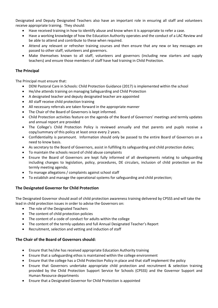Designated and Deputy Designated Teachers also have an important role in ensuring all staff and volunteers receive appropriate training. They should:

- Have received training in how to identify abuse and know when it is appropriate to refer a case.
- Have a working knowledge of how the Education Authority operates and the conduct of a LAC Review and be able to attend and contribute to these when required.
- Attend any relevant or refresher training courses and then ensure that any new or key messages are passed to other staff, volunteers and governors.
- Make themselves known to all staff, volunteers and governors (including new starters and supply teachers) and ensure those members of staff have had training in Child Protection.

## **The Principal**

The Principal must ensure that:

- DENI Pastoral Care in Schools: Child Protection Guidance (2017) is implemented within the school
- He/she attends training on managing Safeguarding and Child Protection
- A designated teacher and deputy designated teacher are appointed
- All staff receive child protection training
- All necessary referrals are taken forward in the appropriate manner
- The Chair of the Board of Governors is kept informed.
- Child Protection activities feature on the agenda of the Board of Governors' meetings and termly updates and annual report are provided
- The College's Child Protection Policy is reviewed annually and that parents and pupils receive a copy/summary of this policy at least once every 2 years.
- Confidentiality is paramount. Information should only be passed to the entire Board of Governors on a need to know basis.
- As secretary to the Board of Governors, assist in fulfilling its safeguarding and child protection duties;
- To maintain the schools record of child abuse complaints
- Ensure the Board of Governors are kept fully informed of all developments relating to safeguarding including changes to legislation, policy, procedures, DE circulars, inclusion of child protection on the termly meeting agenda;
- To manage allegations / complaints against school staff
- To establish and manage the operational systems for safeguarding and child protection;

## **The Designated Governor for Child Protection**

The Designated Governor should avail of child protection awareness training delivered by CPSSS and will take the lead in child protection issues in order to advise the Governors on:

- The role of the Designated Teachers
- The content of child protection policies
- The content of a code of conduct for adults within the college
- The content of the termly updates and full Annual Designated Teacher's Report
- Recruitment, selection and vetting and induction of staff

## **The Chair of the Board of Governors should:**

- Ensure that he/she has received appropriate Education Authority training
- Ensure that a safeguarding ethos is maintained within the college environment
- Ensure that the college has a Child Protection Policy in place and that staff implement the policy
- Ensure that Governors undertake appropriate child protection and recruitment & selection training provided by the Child Protection Support Service for Schools (CPSSS) and the Governor Support and Human Resource departments
- Ensure that a Designated Governor for Child Protection is appointed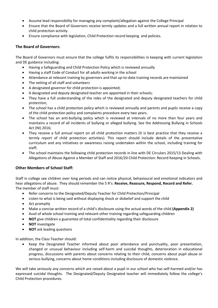- Assume lead responsibility for managing any complaint/allegation against the College Principal
- Ensure that the Board of Governors receive termly updates and a full written annual report in relation to child protection activity.
- Ensure compliance with legislation, Child Protection record keeping and policies.

## **The Board of Governors:**

The Board of Governors must ensure that the college fulfils its responsibilities in keeping with current legislation and DE guidance including:

- Having a Safeguarding and Child Protection Policy which is reviewed annually
- Having a staff Code of Conduct for all adults working in the school
- Attendance at relevant training by governors and that up-to-date training records are maintained
- The vetting of all staff and volunteers
- A designated governor for child protection is appointed;
- A designated and deputy designated teacher are appointed in their schools;
- They have a full understanding of the roles of the designated and deputy designated teachers for child protection;
- The school has a child protection policy which is reviewed annually and parents and pupils receive a copy of the child protection policy and complaints procedure every two years.
- The school has an anti-bullying policy which is reviewed at intervals of no more than four years and maintains a record of all incidents of bullying or alleged bullying. See the Addressing Bullying in Schools Act (NI) 2016;
- They receive a full annual report on all child protection matters (It is best practice that they receive a termly report of child protection activities). This report should include details of the preventative curriculum and any initiatives or awareness raising undertaken within the school, including training for staff;
- The school maintains the following child protection records in line with DE Circulars 2015/13 Dealing with Allegations of Abuse Against a Member of Staff and 2016/20 Child Protection: Record Keeping in Schools.

## **Other Members of School Staff:**

Staff in college see children over long periods and can notice physical, behavioural and emotional indicators and hear allegations of abuse. They should remember the 5 R's: **Receive, Reassure, Respond, Record and Refer.** The member of staff must:

- Refer concerns to the Designated/Deputy Teacher for Child Protection/Principal
- Listen to what is being said without displaying shock or disbelief and support the child
- Act promptly
- Make a concise written record of a child's disclosure using the actual words of the child **(Appendix 2)**
- Avail of whole school training and relevant other training regarding safeguarding children
- **NOT** give children a guarantee of total confidentiality regarding their disclosure
- **NOT** investigate
- **NOT** ask leading questions

In addition, the Class Teacher should:

 Keep the Designated Teacher informed about poor attendance and punctuality, poor presentation, changed or unusual behaviour including self-harm and suicidal thoughts, deterioration in educational progress, discussions with parents about concerns relating to their child, concerns about pupil abuse or serious bullying, concerns about home conditions including disclosure of domestic violence.

We will take seriously any concerns which are raised about a pupil in our school who has self-harmed and/or has expressed suicidal thoughts. The Designated/Deputy Designated teacher will immediately follow the college's Child Protection procedures.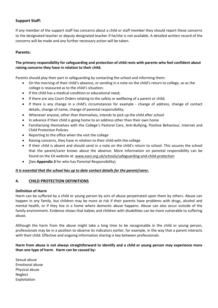## **Support Staff:**

If any member of the support staff has concerns about a child or staff member they should report these concerns to the designated teacher or deputy designated teacher if he/she is not available. A detailed written record of the concerns will be made and any further necessary action will be taken.

## **Parents:**

## **The primary responsibility for safeguarding and protection of child rests with parents who feel confident about raising concerns they have in relation to their child.**

Parents should play their part in safeguarding by contacting the school and informing them:

- On the morning of their child's absence, or sending in a note on the child's return to college, so as the college is reassured as to the child's situation;
- If the child has a medical condition or educational need;
- If there are any Court Orders relating to the safety or wellbeing of a parent or child;
- If there is any change in a child's circumstances for example change of address, change of contact details, change of name, change of parental responsibility;
- Whenever anyone, other than themselves, intends to pick up the child after school
- In advance if their child is going home to an address other than their own home
- Familiarising themselves with the College's Pastoral Care, Anti-Bullying, Positive Behaviour, Internet and Child Protection Policies
- Reporting to the office when the visit the college
- Raising concerns, they have in relation to their child with the college
- If their child is absent and should send in a note on the child's return to school. This assures the school that the parent/carer knows about the absence. More information on parental responsibility can be found on the EA website at: [www.eani.org.uk/schools/safeguarding-and-child-protection](http://www.eani.org.uk/schools/safeguarding-and-child-protection)
- (See **Appendix 3** for who has Parental Responsibility).

## *It is essential that the school has up to date contact details for the parent/carer.*

## **4. CHILD PROTECTION DEFINITIONS**

## **Definition of Harm**

Harm can be suffered by a child or young person by acts of abuse perpetrated upon them by others. Abuse can happen in any family, but children may be more at risk if their parents have problems with drugs, alcohol and mental health, or if they live in a home where domestic abuse happens. Abuse can also occur outside of the family environment. Evidence shows that babies and children with disabilities can be more vulnerable to suffering abuse.

Although the harm from the abuse might take a long time to be recognisable in the child or young person, professionals may be in a position to observe its indicators earlier, for example, in the way that a parent interacts with their child. Effective and ongoing information sharing is key between professionals.

**Harm from abuse is not always straightforward to identify and a child or young person may experience more than one type of harm**. **Harm can be caused by:**

Sexual abuse Emotional abuse Physical abuse Neglect Exploitation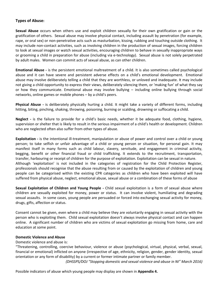## **Types of Abuse:**

**Sexual Abuse** occurs when others use and exploit children sexually for their own gratification or gain or the gratification of others. Sexual abuse may involve physical contact, including assault by penetration (for example, rape, or oral sex) or non-penetrative acts such as masturbation, kissing, rubbing and touching outside clothing. It may include non-contact activities, such as involving children in the production of sexual images, forcing children to look at sexual images or watch sexual activities, encouraging children to behave in sexually inappropriate ways or grooming a child in preparation for abuse (including via e-technology). Sexual abuse is not solely perpetrated by adult males. Women can commit acts of sexual abuse, as can other children.

**Emotional Abuse -** is the persistent emotional maltreatment of a child. It is also sometimes called psychological abuse and it can have severe and persistent adverse effects on a child's emotional development. Emotional abuse may involve deliberately telling a child that they are worthless, or unloved and inadequate. It may include not giving a child opportunity to express their views, deliberately silencing them, or 'making fun' of what they say or how they communicate. Emotional abuse may involve bullying – including online bullying through social networks, online games or mobile phones – by a child's peers.

**Physical Abuse -** is deliberately physically hurting a child. It might take a variety of different forms, including hitting, biting, pinching, shaking, throwing, poisoning, burning or scalding, drowning or suffocating a child.

**Neglect -** is the failure to provide for a child's basic needs, whether it be adequate food, clothing, hygiene, supervision or shelter that is likely to result in the serious impairment of a child's health or development. Children who are neglected often also suffer from other types of abuse.

**Exploitation -** is the intentional ill-treatment, manipulation or abuse of power and control over a child or young person; to take selfish or unfair advantage of a child or young person or situation, for personal gain. It may manifest itself in many forms such as child labour, slavery, servitude, and engagement in criminal activity, begging, benefit or other financial fraud or child trafficking. It extends to the recruitment, transportation, transfer, harbouring or receipt of children for the purpose of exploitation. Exploitation can be sexual in nature. Although 'exploitation' is not included in the categories of registration for the Child Protection Register, professionals should recognise that the abuse resulting from or caused by the exploitation of children and young people can be categorised within the existing CPR categories as children who have been exploited will have suffered from physical abuse, neglect, emotional abuse, sexual abuse or a combination of these forms of abuse

**Sexual Exploitation of Children and Young People -** Child sexual exploitation is a form of sexual abuse where children are sexually exploited for money, power or status. It can involve violent, humiliating and degrading sexual assaults. In some cases, young people are persuaded or forced into exchanging sexual activity for money, drugs, gifts, affection or status.

Consent cannot be given, even where a child may believe they are voluntarily engaging in sexual activity with the person who is exploiting them. Child sexual exploitation doesn't always involve physical contact and can happen online. A significant number of children who are victims of sexual exploitation go missing from home, care and education at some point.

## **Domestic Violence and Abuse**

## Domestic violence and abuse is:

"Threatening, controlling, coercive behaviour, violence or abuse (psychological, virtual, physical, verbal, sexual, financial or emotional) inflicted on anyone (irrespective of age, ethnicity, religion, gender, gender identity, sexual orientation or any form of disability) by a current or former intimate partner or family member.

*(DHSSPS/DOJ "Stopping domestic and sexual violence and abuse in NI" March 2016)*

Possible indicators of abuse which young people may display are shown in **Appendix 4.**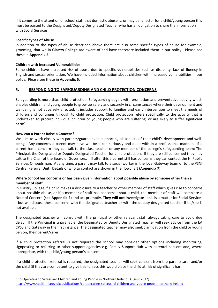If it comes to the attention of school staff that domestic abuse is, or may be, a factor for a child/young person this must be passed to the Designated/Deputy Designated Teacher who has an obligation to share the information with Social Services.

## **Specific types of Abuse**

In addition to the types of abuse described above there are also some specific types of abuse for example, grooming, that we in **Glastry College** are aware of and have therefore included them in our policy. Please see these in **Appendix 5.**

## **Children with Increased Vulnerabilities**

Some children have increased risk of abuse due to specific vulnerabilities such as disability, lack of fluency in English and sexual orientation. We have included information about children with increased vulnerabilities in our policy. Please see these in **Appendix 6.**

## **5. RESPONDING TO SAFEGUARDING AND CHILD PROTECTION CONCERNS**

Safeguarding is more than child protection. Safeguarding begins with promotion and preventative activity which enables children and young people to grow up safely and securely in circumstances where their development and wellbeing is not adversely affected. It includes support to families and early intervention to meet the needs of children and continues through to child protection. Child protection refers specifically to the activity that is undertaken to protect individual children or young people who are suffering, or are likely to suffer significant  $harm<sup>1</sup>$ .

## **How can a Parent Raise a Concern?**

 $\overline{a}$ 

We aim to work closely with parents/guardians in supporting all aspects of their child's development and wellbeing. Any concerns a parent may have will be taken seriously and dealt with in a professional manner. If a parent has a concern they can talk to the class teacher or any member of the college's safeguarding team: The Principal, the Designated or Deputy Designated Teacher for child protection. If they are still concerned they may talk to the Chair of the Board of Governors. If after this a parent still has concerns they can contact the NI Public Services Ombudsman. At any time, a parent may talk to a social worker in the local Gateway team or to the PSNI Central Referral Unit. Details of who to contact are shown in the flowchart (**Appendix 7).**

## **Where School has concerns or has been given information about possible abuse by someone other than a member of staff**

In Glastry College if a child makes a disclosure to a teacher or other member of staff which gives rise to concerns about possible abuse, or if a member of staff has concerns about a child, the member of staff will complete a Note of Concern **(see Appendix 2**) and act promptly. **They will not investigate** - this is a matter for Social Services - but will discuss these concerns with the designated teacher or with the deputy designated teacher if he/she is not available.

The designated teacher will consult with the principal or other relevant staff always taking care to avoid due delay. If the Principal is unavailable, the Designated or Deputy Designated Teacher will seek advice from the EA CPSS and Gateway in the first instance. The designated teacher may also seek clarification from the child or young person, their parent/carer.

If a child protection referral is not required the school may consider other options including monitoring, signposting or referring to other support agencies e.g. Family Support Hub with parental consent and, where appropriate, with the child/young person's consent.

If a child protection referral is required, the designated teacher will seek consent from the parent/carer and/or the child {if they are competent to give this} unless this would place the child at risk of significant harm.

 $1$  Co-Operating to Safeguard Children and Young People in Northern Ireland (August 2017) <https://www.health-ni.gov.uk/publications/co-operating-safeguard-children-and-young-people-northern-ireland>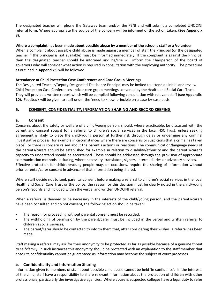The designated teacher will phone the Gateway team and/or the PSNI and will submit a completed UNOCINI referral form. Where appropriate the source of the concern will be informed of the action taken. (**See Appendix 8).**

## **Where a complaint has been made about possible abuse by a member of the school's staff or a Volunteer**

When a complaint about possible child abuse is made against a member of staff the Principal (or the designated teacher if the principal is not available) must be informed immediately. If the complaint is against the Principal then the designated teacher should be informed and he/she will inform the Chairperson of the board of governors who will consider what action is required in consultation with the employing authority. The procedure as outlined in **Appendix 9** will be followed.

## **Attendance at Child Protection Case Conferences and Core Group Meetings**

The Designated Teacher/Deputy Designated Teacher or Principal may be invited to attend an initial and review Child Protection Case Conferences and/or core group meetings convened by the Health and Social Care Trust. They will provide a written report which will be compiled following consultation with relevant staff (**see Appendix 10**). Feedback will be given to staff under the 'need to know' principle on a case-by-case basis.

## **6. CONSENT, CONFIDENTIALITY, INFORMATION SHARING AND RECORD KEEPING**

## **a. Consent**

Concerns about the safety or welfare of a child/young person, should, where practicable, be discussed with the parent and consent sought for a referral to children's social services in the local HSC Trust, unless seeking agreement is likely to place the child/young person at further risk through delay or undermine any criminal investigative process (for example in circumstances where there are concerns or suspicions that a crime has taken place); or there is concern raised about the parent's actions or reactions. The communication/language needs of the parents/carers should be established for example in relation to disability/ethnicity and the parent's/carer's capacity to understand should be ascertained. These should be addressed through the provision of appropriate communication methods, including, where necessary, translators, signers, intermediaries or advocacy services. Effective protection for children/young people may, on occasions, require the sharing of information without prior parental/carer consent in advance of that information being shared.

Where staff decide not to seek parental consent before making a referral to children's social services in the local Health and Social Care Trust or the police, the reason for this decision must be clearly noted in the child/young person's records and included within the verbal and written UNOCINI referral.

When a referral is deemed to be necessary in the interests of the child/young person, and the parents/carers have been consulted and do not consent, the following action should be taken:

- The reason for proceeding without parental consent must be recorded;
- The withholding of permission by the parent/carer must be included in the verbal and written referral to children's social services;
- The parent/carer should be contacted to inform them that, after considering their wishes, a referral has been made.

Staff making a referral may ask for their anonymity to be protected as far as possible because of a genuine threat to self/family. In such instances this anonymity should be protected with an explanation to the staff member that absolute confidentiality cannot be guaranteed as information may become the subject of court processes.

## **b. Confidentiality and Information Sharing**

Information given to members of staff about possible child abuse cannot be held 'in confidence'. In the interests of the child, staff have a responsibility to share relevant information about the protection of children with other professionals, particularly the investigative agencies. Where abuse is suspected colleges have a legal duty to refer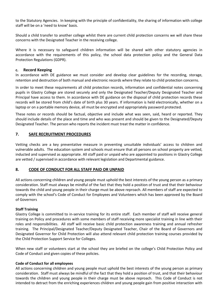to the Statutory Agencies. In keeping with the principle of confidentiality, the sharing of information with college staff will be on a 'need to know' basis.

Should a child transfer to another college whilst there are current child protection concerns we will share these concerns with the Designated Teacher in the receiving college.

Where it is necessary to safeguard children information will be shared with other statutory agencies in accordance with the requirements of this policy, the school data protection policy and the General Data Protection Regulations (GDPR).

## **c. Record Keeping**

In accordance with DE guidance we must consider and develop clear guidelines for the recording, storage, retention and destruction of both manual and electronic records where they relate to child protection concerns.

In order to meet these requirements all child protection records, information and confidential notes concerning pupils in Glastry College are stored securely and only the Designated Teacher/Deputy Designated Teacher and Principal have access to them. In accordance with DE guidance on the disposal of child protection records these records will be stored from child's date of birth plus 30 years. If information is held electronically, whether on a laptop or on a portable memory device, all must be encrypted and appropriately password protected.

These notes or records should be factual, objective and include what was seen, said, heard or reported. They should include details of the place and time and who was present and should be given to the Designated/Deputy Designated Teacher. The person who reports the incident must treat the matter in confidence.

## **7. SAFE RECRUITMENT PROCEDURES**

Vetting checks are a key preventative measure in preventing unsuitable individuals' access to children and vulnerable adults. The education system and schools must ensure that all persons on school property are vetted, inducted and supervised as appropriate. All staff paid or unpaid who are appointed to positions in Glastry College are vetted / supervised in accordance with relevant legislation and Departmental guidance.

## **8. CODE OF CONDUCT FOR ALL STAFF PAID OR UNPAID**

All actions concerning children and young people must uphold the best interests of the young person as a primary consideration. Staff must always be mindful of the fact that they hold a position of trust and that their behaviour towards the child and young people in their charge must be above reproach. All members of staff are expected to comply with the school's Code of Conduct for Employees and Volunteers which has been approved by the Board of Governors

## **Staff Training**

Glastry College is committed to in-service training for its entire staff. Each member of staff will receive general training on Policy and procedures with some members of staff receiving more specialist training in line with their roles and responsibilities. All staff will receive basic child protection awareness training and annual refresher training. The Principal/Designated Teacher/Deputy Designated Teacher, Chair of the Board of Governors and Designated Governor for Child Protection will also attend relevant child protection training courses provided by the Child Protection Support Service for Colleges.

When new staff or volunteers start at the school they are briefed on the college's Child Protection Policy and Code of Conduct and given copies of these policies.

## **Code of Conduct for all employees**

All actions concerning children and young people must uphold the best interests of the young person as primary consideration. Staff must always be mindful of the fact that they hold a position of trust, and that their behaviour towards the children and young people in their charge must be above reproach. This Code of Conduct is not intended to detract from the enriching experiences children and young people gain from positive interaction with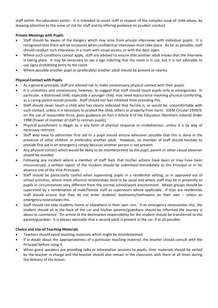staff within the education sector. It is intended to assist staff in respect of the complex issue of child abuse, by drawing attention to the areas of risk for staff and by offering guidance on prudent conduct.

## **Private Meetings with Pupils**

- Staff should be aware of the dangers which may arise from private interviews with individual pupils. It is recognised that there will be occasions when confidential interviews must take place. As far as possible, staff should conduct such interviews in a room with visual access, or with the door open.
- Where such conditions cannot apply, staff are advised to ensure that another adult knows that the interview is taking place. It may be necessary to use a sign indicting that the room is in use, but it is not advisable to use signs prohibiting entry to the room.
- Where possible another pupil or (preferably) another adult should be present or nearby.

## **Physical Contact with Pupils**

- As a general principle, staff are advised not to make unnecessary physical contact with their pupils.
- It is unrealistic and unnecessary, however, to suggest that staff should touch pupils only in emergencies. In particular, a distressed child, especially a younger child, may need reassurance involving physical comforting, as a caring parent would provide. Staff should not feel inhibited from providing this.
- Staff should never touch a child who has clearly indicated that he/she is, or would be, uncomfortable with such contact, unless it is necessary to protect the child, others or property from harm. (DENI Circular 1999/9, on the use of reasonable force, gives guidance on Part II Article 4 of the Education (Northern Ireland) Order 1998 (Power of member of staff to restrain pupils).
- Physical punishment is illegal, as is any form of physical response to misbehaviour, unless it is by way of necessary restraint.
- Staff who have to administer first aid to a pupil should ensure wherever possible that this is done in the presence of other children or preferably another adult. However, no member of staff should hesitate to provide first aid in an emergency simply because another person is not present.
- Any physical contact which would be likely to be misinterpreted by the pupil, parent or other casual observer should be avoided.
- Following any incident where a member of staff feels that his/her actions have been or may have been misconstrued, a written report of the incident should be submitted immediately to the Principal or in his absence one of the Vice-Principals.
- Staff should be particularly careful when supervising pupils in a residential setting, or in approved out of school activities, where more informal relationships tend to be usual and where staff may be in proximity to pupils in circumstances very different from the normal school/work environment. Mixed groups should be supervised by a combination of male/female staff as supervisors where applicable. If trips are residential, staff should ensure that they do not enter students' bedrooms/bathrooms on their own – unless an emergency necessitates this.
- Staff should not take students home or elsewhere in their own cars. If an emergency necessitates this, the student should sit in the back of the car and his/her parents/guardians should be informed the journey is about to commence. On arrival at the destination responsibility for the student should be transferred to the parent/guardian. It is always advisable that a second adult is present in the car, if at all possible.

## **Choice and Use of Teaching Materials**

- Teachers should avoid teaching materials which might be misinterpreted.
- If in doubt about the appropriateness of a particular teaching material, the teacher should consult with the Principal before using it.
- When guest speakers are providing talks or information sessions to pupils, their materials should be vetted by the teacher in charge and the teacher should also remain in the classroom with them at all times during the delivery of the lesson.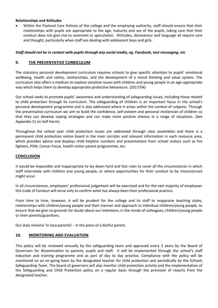## **Relationships and Attitudes**

 Within the Pastoral Care Policies of the college and the employing authority, staff should ensure that their relationships with pupils are appropriate to the age, maturity and sex of the pupils, taking care that their conduct does not give rise to comment or speculation. Attitudes, demeanour and language all require care and thought, particularly when staff are dealing with adolescent boys and girls.

## *Staff should not be in contact with pupils through any social media, eg. Facebook, text messaging, etc*

## **9. THE PREVENTATIVE CURRICULUM**

The statutory personal development curriculum requires schools to give specific attention to pupils' emotional wellbeing, health and safety, relationships, and the development of a moral thinking and value system. The curriculum also offers a medium to explore sensitive issues with children and young people in an age-appropriate way which helps them to develop appropriate protective behaviours. (2017/04)

Our school seeks to promote pupils' awareness and understanding of safeguarding issues, including those related to child protection through its curriculum. The safeguarding of children is an important focus in the school's personal development programme and is also addressed where it arises within the context of subjects. Through the preventative curriculum we aim to build the confidence, self-esteem and personal resiliencies of children so that they can develop coping strategies and can make more positive choices in a range of situations. (See Appendix 11 on Self Harm).

Throughout the school year child protection issues are addressed through class assemblies and there is a permanent child protection notice board in the main corridor and relevant information in each resource area, which provides advice and displays child helpline numbers and presentations from school visitors such as fire fighters, PSNI, Cancer Focus, health visitor parent programmes, etc.

## **CONCLUSION**

It would be impossible and inappropriate to lay down hard and fast rules to cover all the circumstances in which staff interrelate with children and young people, or where opportunities for their conduct to be misconstrued might occur.

In all circumstances, employees' professional judgement will be exercised and for the vast majority of employees this Code of Conduct will serve only to confirm what has always been their professional practice.

From time to time, however, it will be prudent for the college and its staff to reappraise teaching styles, relationships with children/young people and their manner and approach to individual children/young people, to ensure that we give no grounds for doubt about our intentions, in the minds of colleagues, children/young people or their parents/guardians.

Our duty remains 'in loco parentis' - in the place of a dutiful parent.

## **10. MONITORING AND EVALUATION**

This policy will be reviewed annually by the safeguarding team and approved every 2 years by the Board of Governors for dissemination to parents, pupils and staff. It will be implemented through the school's staff induction and training programme and as part of day to day practice. Compliance with the policy will be monitored on an on-going basis by the designated teacher for child protection and periodically by the Schools Safeguarding Team. The board of governors will also monitor child protection activity and the implementation of the Safeguarding and Child Protection policy on a regular basis through the provision of reports from the designated teacher.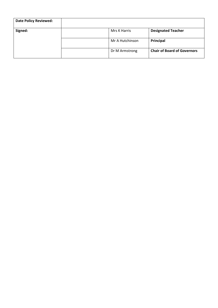| <b>Date Policy Reviewed:</b> |                 |                                    |
|------------------------------|-----------------|------------------------------------|
| Signed:                      | Mrs K Harris    | <b>Designated Teacher</b>          |
|                              | Mr A Hutchinson | Principal                          |
|                              | Dr M Armstrong  | <b>Chair of Board of Governors</b> |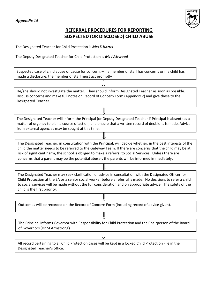## *Appendix 1A*



## **REFERRAL PROCEDURES FOR REPORTING SUSPECTED (OR DISCLOSED) CHILD ABUSE**

The Designated Teacher for Child Protection is *Mrs K Harris*

The Deputy Designated Teacher for Child Protection is *Ms J Attwood*

| Suspected case of child abuse or cause for concern. - if a member of staff has concerns or if a child has<br>made a disclosure, the member of staff must act promptly                                                                                                                                                                                                                                                                  |  |  |
|----------------------------------------------------------------------------------------------------------------------------------------------------------------------------------------------------------------------------------------------------------------------------------------------------------------------------------------------------------------------------------------------------------------------------------------|--|--|
|                                                                                                                                                                                                                                                                                                                                                                                                                                        |  |  |
| He/she should not investigate the matter. They should inform Designated Teacher as soon as possible.<br>Discuss concerns and make full notes on Record of Concern Form (Appendix 2) and give these to the<br>Designated Teacher.                                                                                                                                                                                                       |  |  |
|                                                                                                                                                                                                                                                                                                                                                                                                                                        |  |  |
| The Designated Teacher will inform the Principal (or Deputy Designated Teacher if Principal is absent) as a<br>matter of urgency to plan a course of action, and ensure that a written record of decisions is made. Advice<br>from external agencies may be sought at this time.                                                                                                                                                       |  |  |
|                                                                                                                                                                                                                                                                                                                                                                                                                                        |  |  |
| The Designated Teacher, in consultation with the Principal, will decide whether, in the best interests of the<br>child the matter needs to be referred to the Gateway Team. If there are concerns that the child may be at<br>risk of significant harm, the school is obliged to make a referral to Social Services. Unless there are<br>concerns that a parent may be the potential abuser, the parents will be informed immediately. |  |  |
|                                                                                                                                                                                                                                                                                                                                                                                                                                        |  |  |
| The Designated Teacher may seek clarification or advice in consultation with the Designated Officer for<br>Child Protection at the EA or a senior social worker before a referral is made. No decisions to refer a child<br>to social services will be made without the full consideration and on appropriate advice. The safety of the<br>child is the first priority.                                                                |  |  |
|                                                                                                                                                                                                                                                                                                                                                                                                                                        |  |  |
| Outcomes will be recorded on the Record of Concern Form (including record of advice given).                                                                                                                                                                                                                                                                                                                                            |  |  |
|                                                                                                                                                                                                                                                                                                                                                                                                                                        |  |  |
| The Principal informs Governor with Responsibility for Child Protection and the Chairperson of the Board<br>of Governors (Dr M Armstrong)                                                                                                                                                                                                                                                                                              |  |  |
|                                                                                                                                                                                                                                                                                                                                                                                                                                        |  |  |
| All record pertaining to all Child Protection cases will be kept in a locked Child Protection File in the<br>Designated Teacher's office.                                                                                                                                                                                                                                                                                              |  |  |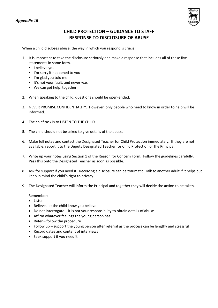

## **CHILD PROTECTION – GUIDANCE TO STAFF RESPONSE TO DISCLOSURE OF ABUSE**

When a child discloses abuse, the way in which you respond is crucial.

- 1. It is important to take the disclosure seriously and make a response that includes all of these five statements in some form.
	- I believe you
	- I'm sorry it happened to you
	- I'm glad you told me
	- It's not your fault, and never was
	- We can get help, together
- 2. When speaking to the child, questions should be open-ended.
- 3. NEVER PROMISE CONFIDENTIALITY. However, only people who need to know in order to help will be informed.
- 4. The chief task is to LISTEN TO THE CHILD.
- 5. The child should not be asked to give details of the abuse.
- 6. Make full notes and contact the Designated Teacher for Child Protection immediately. If they are not available, report it to the Deputy Designated Teacher for Child Protection or the Principal.
- 7. Write up your notes using Section 1 of the Reason for Concern Form. Follow the guidelines carefully. Pass this onto the Designated Teacher as soon as possible.
- 8. Ask for support if you need it. Receiving a disclosure can be traumatic. Talk to another adult if it helps but keep in mind the child's right to privacy.
- 9. The Designated Teacher will inform the Principal and together they will decide the action to be taken.

Remember:

- Listen
- Believe, let the child know you believe
- Do not interrogate it is not your responsibility to obtain details of abuse
- Affirm whatever feelings the young person has
- Refer follow the procedure
- Follow up support the young person after referral as the process can be lengthy and stressful
- Record dates and content of interviews
- Seek support if you need it.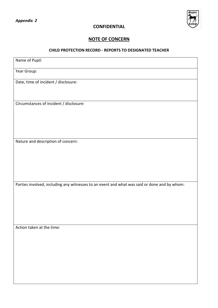

## **CONFIDENTIAL**

## **NOTE OF CONCERN**

## **CHILD PROTECTION RECORD - REPORTS TO DESIGNATED TEACHER**

| Name of Pupil:                                                                               |
|----------------------------------------------------------------------------------------------|
| Year Group:                                                                                  |
| Date, time of incident / disclosure:                                                         |
| Circumstances of incident / disclosure:                                                      |
| Nature and description of concern:                                                           |
| Parties involved, including any witnesses to an event and what was said or done and by whom: |
| Action taken at the time:                                                                    |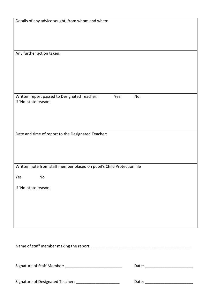| Details of any advice sought, from whom and when:                      |      |     |
|------------------------------------------------------------------------|------|-----|
|                                                                        |      |     |
|                                                                        |      |     |
|                                                                        |      |     |
| Any further action taken:                                              |      |     |
|                                                                        |      |     |
|                                                                        |      |     |
|                                                                        |      |     |
|                                                                        |      |     |
| Written report passed to Designated Teacher:<br>If 'No' state reason:  | Yes: | No: |
|                                                                        |      |     |
|                                                                        |      |     |
|                                                                        |      |     |
| Date and time of report to the Designated Teacher:                     |      |     |
|                                                                        |      |     |
|                                                                        |      |     |
|                                                                        |      |     |
| Written note from staff member placed on pupil's Child Protection file |      |     |
| Yes<br>No                                                              |      |     |
| If 'No' state reason:                                                  |      |     |
|                                                                        |      |     |
|                                                                        |      |     |
|                                                                        |      |     |
|                                                                        |      |     |
|                                                                        |      |     |
|                                                                        |      |     |
|                                                                        |      |     |
|                                                                        |      |     |
|                                                                        |      |     |
|                                                                        |      |     |
| Signature of Designated Teacher: _________________________             |      |     |
|                                                                        |      |     |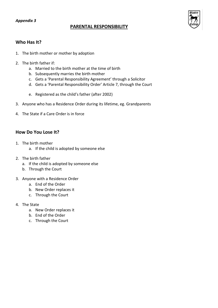## **PARENTAL RESPONSIBILITY**



## **Who Has It?**

- 1. The birth mother or mother by adoption
- 2. The birth father if:
	- a. Married to the birth mother at the time of birth
	- b. Subsequently marries the birth mother
	- c. Gets a 'Parental Responsibility Agreement' through a Solicitor
	- d. Gets a 'Parental Responsibility Order' Article 7, through the Court
	- e. Registered as the child's father (after 2002)
- 3. Anyone who has a Residence Order during its lifetime, eg. Grandparents
- 4. The State if a Care Order is in force

## **How Do You Lose It?**

- 1. The birth mother
	- a. If the child is adopted by someone else
- 2. The birth father
	- a. If the child is adopted by someone else
	- b. Through the Court
- 3. Anyone with a Residence Order
	- a. End of the Order
	- b. New Order replaces it
	- c. Through the Court
- 4. The State
	- a. New Order replaces it
	- b. End of the Order
	- c. Through the Court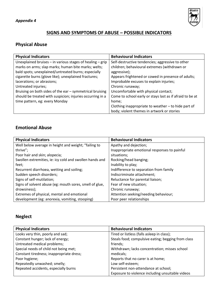

## **SIGNS AND SYMPTOMS OF ABUSE – POSSIBLE INDICATORS**

## **Physical Abuse**

| <b>Physical Indicators</b>                                    | <b>Behavioural Indicators</b>                            |
|---------------------------------------------------------------|----------------------------------------------------------|
| Unexplained bruises $-$ in various stages of healing $-$ grip | Self-destructive tendencies; aggressive to other         |
| marks on arms; slap marks; human bite marks; welts;           | children; behavioural extremes (withdrawn or             |
| bald spots; unexplained/untreated burns; especially           | aggressive);                                             |
| cigarette burns (glove like); unexplained fractures;          | Appears frightened or cowed in presence of adults;       |
| lacerations; or abrasions;                                    | Improbable excuses to explain injuries;                  |
| Untreated injuries;                                           | Chronic runaway;                                         |
| Bruising on both sides of the ear - symmetrical bruising      | Uncomfortable with physical contact;                     |
| should be treated with suspicion; injuries occurring in a     | Come to school early or stays last as if afraid to be at |
| time pattern, eg: every Monday                                | home;                                                    |
|                                                               | Clothing inappropriate to weather - to hide part of      |
|                                                               | body; violent themes in artwork or stories               |

## **Emotional Abuse**

| <b>Physical Indicators</b>                              | <b>Behavioural Indicators</b>                |
|---------------------------------------------------------|----------------------------------------------|
| Well below average in height and weight; "failing to    | Apathy and dejection;                        |
| thrive";                                                | Inappropriate emotional responses to painful |
| Poor hair and skin; alopecia;                           | situations:                                  |
| Swollen extremities, ie: icy cold and swollen hands and | Rocking/head banging;                        |
| feet;                                                   | Inability to play;                           |
| Recurrent diarrhoea, wetting and soiling;               | Indifference to separation from family       |
| Sudden speech disorders;                                | Indiscriminate attachment;                   |
| Signs of self-mutilation;                               | Reluctance for parental liaison;             |
| Signs of solvent abuse (eg: mouth sores, smell of glue, | Fear of new situation;                       |
| drowsiness);                                            | Chronic runaway;                             |
| Extremes of physical, mental and emotional              | Attention seeking/needing behaviour;         |
| development (eg: anorexia, vomiting, stooping)          | Poor peer relationships                      |

# **Neglect**

| <b>Physical Indicators</b>               | <b>Behavioural Indicators</b>                      |
|------------------------------------------|----------------------------------------------------|
| Looks very thin, poorly and sad;         | Tired or listless (falls asleep in class);         |
| Constant hunger; lack of energy;         | Steals food; compulsive eating; begging from class |
| Untreated medical problems;              | friends;                                           |
| Special needs of child not being met;    | Withdrawn; lacks concentration; misses school      |
| Constant tiredness; inappropriate dress; | medicals;                                          |
| Poor hygiene;                            | Reports that no carer is at home;                  |
| Repeatedly unwashed; smelly;             | Low self-esteem;                                   |
| Repeated accidents, especially burns     | Persistent non-attendance at school;               |
|                                          | Exposure to violence including unsuitable videos   |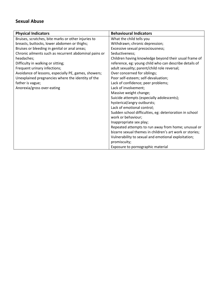## **Sexual Abuse**

| <b>Physical Indicators</b>                            | <b>Behavioural Indicators</b>                            |
|-------------------------------------------------------|----------------------------------------------------------|
| Bruises, scratches, bite marks or other injuries to   | What the child tells you                                 |
| breasts, buttocks, lower abdomen or thighs;           | Withdrawn; chronic depression;                           |
| Bruises or bleeding in genital or anal areas;         | Excessive sexual precociousness;                         |
| Chronic ailments such as recurrent abdominal pains or | Seductiveness;                                           |
| headaches;                                            | Children having knowledge beyond their usual frame of    |
| Difficulty in walking or sitting;                     | reference, eg: young child who can describe details of   |
| Frequent urinary infections;                          | adult sexuality; parent/child role reversal;             |
| Avoidance of lessons, especially PE, games, showers;  | Over concerned for siblings;                             |
| Unexplained pregnancies where the identity of the     | Poor self-esteem; self-devaluation;                      |
| father is vague;                                      | Lack of confidence; peer problems;                       |
| Anorexia/gross over-eating                            | Lack of involvement;                                     |
|                                                       | Massive weight change;                                   |
|                                                       | Suicide attempts (especially adolescents);               |
|                                                       | hysterical/angry outbursts;                              |
|                                                       | Lack of emotional control;                               |
|                                                       | Sudden school difficulties, eg: deterioration in school  |
|                                                       | work or behaviour;                                       |
|                                                       | Inappropriate sex play;                                  |
|                                                       | Repeated attempts to run away from home; unusual or      |
|                                                       | bizarre sexual themes in children's art work or stories; |
|                                                       | Vulnerability to sexual and emotional exploitation;      |
|                                                       | promiscuity;                                             |
|                                                       | Exposure to pornographic material                        |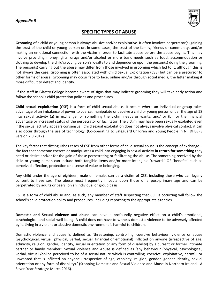

## **SPECIFIC TYPES OF ABUSE**

**Grooming** of a child or young person is always abusive and/or exploitative. It often involves perpetrator(s) gaining the trust of the child or young person or, in some cases, the trust of the family, friends or community, and/or making an emotional connection with the victim in order to facilitate abuse before the abuse begins. This may involve providing money, gifts, drugs and/or alcohol or more basic needs such as food, accommodation or clothing to develop the child's/young person's loyalty to and dependence upon the person(s) doing the grooming. The person(s) carrying out the abuse may differ from those involved in grooming which led to it, although this is not always the case. Grooming is often associated with Child Sexual Exploitation (CSE) but can be a precursor to other forms of abuse. Grooming may occur face to face, online and/or through social media, the latter making it more difficult to detect and identify.

If the staff in Glastry College become aware of signs that may indicate grooming they will take early action and follow the school's child protection policies and procedures.

**Child sexual exploitation** (CSE) is a form of child sexual abuse. It occurs where an individual or group takes advantage of an imbalance of power to coerce, manipulate or deceive a child or young person under the age of 18 into sexual activity (a) in exchange for something the victim needs or wants, and/ or (b) for the financial advantage or increased status of the perpetrator or facilitator. The victim may have been sexually exploited even if the sexual activity appears consensual. Child sexual exploitation does not always involve physical contact; it can also occur through the use of technology. (Co-operating to Safeguard Children and Young People in NI. DHSSPS version 2.0 2017)

The key factor that distinguishes cases of CSE from other forms of child sexual abuse is the concept of exchange – the fact that someone coerces or manipulates a child into engaging in sexual activity **in return for something** they need or desire and/or for the gain of those perpetrating or facilitating the abuse. The something received by the child or young person can include both tangible items and/or more intangible 'rewards' OR 'benefits' such as perceived affection, protection or a sense of value or belonging.

Any child under the age of eighteen, male or female, can be a victim of CSE, including those who can legally consent to have sex. The abuse most frequently impacts upon those of a post-primary age and can be perpetrated by adults or peers, on an individual or group basis.

CSE is a form of child abuse and, as such, any member of staff suspecting that CSE is occurring will follow the school's child protection policy and procedures, including reporting to the appropriate agencies.

**Domestic and Sexual violence and abuse** can have a profoundly negative effect on a child's emotional, psychological and social well-being. A child does not have to witness domestic violence to be adversely affected by it. Living in a violent or abusive domestic environment is harmful to children.

Domestic violence and abuse is defined as 'threatening, controlling, coercive behaviour, violence or abuse (psychological, virtual, physical, verbal, sexual, financial or emotional) inflicted on anyone (irrespective of age, ethnicity, religion, gender, identity, sexual orientation or any form of disability) by a current or former intimate partner or family member.' Sexual Violence and Abuse is defined as 'any behaviour (physical, psychological, verbal, virtual /online perceived to be of a sexual nature which is controlling, coercive, exploitative, harmful or unwanted that is inflicted on anyone (irrespective of age, ethnicity, religion, gender, gender identity, sexual orientation or any form of disability).' (Stopping Domestic and Sexual Violence and Abuse in Northern Ireland - A Seven Year Strategy: March 2016).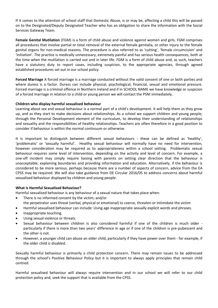If it comes to the attention of school staff that Domestic Abuse, is or may be, affecting a child this will be passed on to the Designated/Deputy Designated Teacher who has an obligation to share the information with the Social Services Gateway Team.

**Female Genital Mutilation** (FGM) is a form of child abuse and violence against women and girls. FGM comprises all procedures that involve partial or total removal of the external female genitalia, or other injury to the female genital organs for non-medical reasons. The procedure is also referred to as 'cutting', 'female circumcision' and 'initiation'. The practice is medically unnecessary, extremely painful and has serious health consequences, both at the time when the mutilation is carried out and in later life. FGM is a form of child abuse and, as such, teachers have a statutory duty to report cases, including suspicion, to the appropriate agencies, through agreed established procedures set out in our school policy.

**Forced Marriage** A forced marriage is a marriage conducted without the valid consent of one or both parties and where duress is a factor. Duress can include physical, psychological, financial, sexual and emotional pressure. Forced marriage is a criminal offence in Northern Ireland and if in SCHOOL NAME we have knowledge or suspicion of a forced marriage in relation to a child or young person we will contact the PSNI immediately.

## **Children who display harmful sexualised behaviour**

Learning about sex and sexual behaviour is a normal part of a child's development. It will help them as they grow up, and as they start to make decisions about relationships. As a school we support children and young people, through the Personal Development element of the curriculum, to develop their understanding of relationships and sexuality and the responsibilities of healthy relationships. Teachers are often therefore in a good position to consider if behaviour is within the normal continuum or otherwise.

It is important to distinguish between different sexual behaviours - these can be defined as 'healthy', 'problematic' or 'sexually harmful'. Healthy sexual behaviour will normally have no need for intervention, however consideration may be required as to appropriateness within a school setting. Problematic sexual behaviour requires some level of intervention, depending on the activity and level of concern. For example, a one-off incident may simply require liaising with parents on setting clear direction that the behaviour is unacceptable, explaining boundaries and providing information and education. Alternatively, if the behaviour is considered to be more serious, perhaps because there are a number of aspects of concern, advice from the EA CPSS may be required. We will also take guidance from DE Circular 2016/05 to address concerns about harmful sexualised behaviour displayed by children and young people.

## **What is Harmful Sexualised Behaviour?**

Harmful sexualised behaviour is any behaviour of a sexual nature that takes place when:

- There is no informed consent by the victim; and/or the perpetrator uses threat (verbal, physical or emotional) to coerce, threaten or intimidate the victim
- Harmful sexualised behaviour can include: Using age inappropriate sexually explicit words and phrases.
- Inappropriate touching.
- Using sexual violence or threats.
- Sexual behaviour between children is also considered harmful if one of the children is much older particularly if there is more than two years' difference in age or if one of the children is pre-pubescent and the other is not.
- However, a younger child can abuse an older child, particularly if they have power over them for example, if the older child is disabled.

Sexually harmful behaviour is primarily a child protection concern. There may remain issues to be addressed through the school's Positive Behaviour Policy but it is important to always apply principles that remain child centred.

Harmful sexualised behaviour will always require intervention and in our school we will refer to our child protection policy and, seek the support that is available from the CPSS.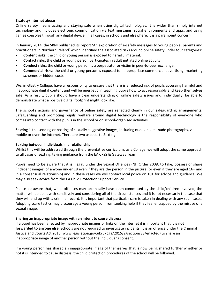## **E safety/Internet abuse**

Online safety means acting and staying safe when using digital technologies. It is wider than simply internet technology and includes electronic communication via text messages, social environments and apps, and using games consoles through any digital device. In all cases, in schools and elsewhere, it is a paramount concern.

In January 2014, the SBNI published its report 'An exploration of e-safety messages to young people, parents and practitioners in Northern Ireland' which identified the associated risks around online safety under four categories:

- **Content risks**: the child or young person is exposed to harmful material.
- **Contact risks**: the child or young person participates in adult initiated online activity.
- **Conduct risks**: the child or young person is a perpetrator or victim in peer-to-peer exchange.
- **Commercial risks**: the child or young person is exposed to inappropriate commercial advertising, marketing schemes or hidden costs.

We, in Glastry College, have a responsibility to ensure that there is a reduced risk of pupils accessing harmful and inappropriate digital content and will be energetic in teaching pupils how to act responsibly and keep themselves safe. As a result, pupils should have a clear understanding of online safety issues and, individually, be able to demonstrate what a positive digital footprint might look like.

The school's actions and governance of online safety are reflected clearly in our safeguarding arrangements. Safeguarding and promoting pupils' welfare around digital technology is the responsibility of everyone who comes into contact with the pupils in the school or on school-organised activities.

**Sexting** is the sending or posting of sexually suggestive images, including nude or semi-nude photographs, via mobile or over the internet. There are two aspects to Sexting:

## **Sexting between individuals in a relationship**

Whilst this will be addressed through the preventative curriculum, as a College, we will adopt the same approach to all cases of sexting, taking guidance from the EA CPSS & Gateway Team.

Pupils need to be aware that it is illegal, under the Sexual Offences (NI) Order 2008, to take, possess or share 'indecent images' of anyone under 18 even if they are the person in the picture (or even if they are aged 16+ and in a consensual relationship) and in these cases we will contact local police on 101 for advice and guidance. We may also seek advice from the EA Child Protection Support Service.

Please be aware that, while offences may technically have been committed by the child/children involved, the matter will be dealt with sensitively and considering all of the circumstances and it is not necessarily the case that they will end up with a criminal record. It is important that particular care is taken in dealing with any such cases. Adopting scare tactics may discourage a young person from seeking help if they feel entrapped by the misuse of a sexual image.

## **Sharing an inappropriate image with an intent to cause distress**

If a pupil has been affected by inappropriate images or links on the internet it is important that it is **not forwarded to anyone else**. Schools are not required to investigate incidents. It is an offence under the Criminal Justice and Courts Act 2015 (www.legislation.gov.uk/ukpga/2015/2/section/33/enacted) to share an inappropriate image of another person without the individual's consent.

If a young person has shared an inappropriate image of themselves that is now being shared further whether or not it is intended to cause distress, the child protection procedures of the school will be followed.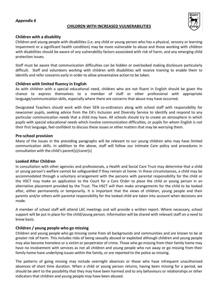## *Appendix 6*

#### **CHILDREN WITH INCREASED VULNERABILITIES**



## **Children with a disability**

Children and young people with disabilities (i.e. any child or young person who has a physical, sensory or learning impairment or a significant health condition) may be more vulnerable to abuse and those working with children with disabilities should be aware of any vulnerability factors associated with risk of harm, and any emerging child protection issues.

Staff must be aware that communication difficulties can be hidden or overlooked making disclosure particularly difficult. Staff and volunteers working with children with disabilities will receive training to enable them to identify and refer concerns early in order to allow preventative action to be taken.

## **Children with limited fluency in English**

As with children with a special educational need, children who are not fluent in English should be given the chance to express themselves to a member of staff or other professional with appropriate language/communication skills, especially where there are concerns that abuse may have occurred.

Designated Teachers should work with their SEN co-ordinators along with school staff with responsibility for newcomer pupils, seeking advice from the EA's Inclusion and Diversity Service to identify and respond to any particular communication needs that a child may have. All schools should try to create an atmosphere in which pupils with special educational needs which involve communication difficulties, or pupils for whom English is not their first language, feel confident to discuss these issues or other matters that may be worrying them.

## **Pre-school provision**

Many of the issues in the preceding paragraphs will be relevant to our young children who may have limited communication skills. In addition to the above, staff will follow our Intimate Care policy and procedures in consultation with the child's parent[s]/carer[s]

## **Looked After Children**

In consultation with other agencies and professionals, a Health and Social Care Trust may determine that a child or young person's welfare cannot be safeguarded if they remain at home. In these circumstances, a child may be accommodated through a voluntary arrangement with the persons with parental responsibility for the child or the HSCT may make an application to the Court for a Care Order to place the child or young person in an alternative placement provided by the Trust. The HSCT will then make arrangements for the child to be looked after, either permanently or temporarily. It is important that the views of children, young people and their parents and/or others with parental responsibility for the looked child are taken into account when decisions are made.

A member of school staff will attend LAC meetings and will provide a written report. Where necessary, school support will be put in place for the child/young person. Information will be shared with relevant staff on a need to know basis.

## **Children / young people who go missing**

Children and young people who go missing come from all backgrounds and communities and are known to be at greater risk of harm. This includes risks of being sexually abused or exploited although children and young people may also become homeless or a victim or perpetrator of crime. Those who go missing from their family home may have no involvement with services as not all children and young people who run away or go missing from their family home have underlying issues within the family, or are reported to the police as missing.

The patterns of going missing may include overnight absences or those who have infrequent unauthorised absences of short time duration. When a child or young person returns, having been missing for a period, we should be alert to the possibility that they may have been harmed and to any behaviours or relationships or other indicators that children and young people may have been abused.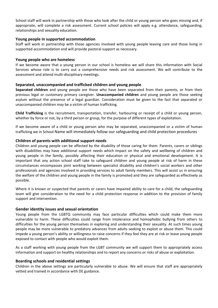School staff will work in partnership with those who look after the child or young person who goes missing and, if appropriate, will complete a risk assessment. Current school policies will apply e.g. attendance, safeguarding, relationships and sexuality education.

## **Young people in supported accommodation**

Staff will work in partnership with those agencies involved with young people leaving care and those living in supported accommodation and will provide pastoral support as necessary.

## **Young people who are homeless**

If we become aware that a young person in our school is homeless we will share this information with Social Services whose role is to carry out a comprehensive needs and risk assessment. We will contribute to the assessment and attend multi-disciplinary meetings.

## **Separated, unaccompanied and trafficked children and young people**

**Separated children** and young people are those who have been separated from their parents, or from their previous legal or customary primary caregiver. **Unaccompanied children** and young people are those seeking asylum without the presence of a legal guardian. Consideration must be given to the fact that separated or unaccompanied children may be a victim of human trafficking.

**Child Trafficking** is the recruitment, transportation, transfer, harbouring or receipt of a child or young person, whether by force or not, by a third person or group, for the purpose of different types of exploitation.

If we become aware of a child or young person who may be separated, unaccompanied or a victim of human trafficking we in School Name will immediately follow our safeguarding and child protection procedures

## **Children of parents with additional support needs**

Children and young people can be affected by the disability of those caring for them. Parents, carers or siblings with disabilities may have additional support needs which impact on the safety and wellbeing of children and young people in the family, possibly affecting their education or physical and emotional development. It is important that any action school staff take to safeguard children and young people at risk of harm in these circumstances encompasses joint working between specialist disability and children's social workers and other professionals and agencies involved in providing services to adult family members. This will assist us in ensuring the welfare of the children and young people in the family is promoted and they are safeguarded as effectively as possible.

Where it is known or suspected that parents or carers have impaired ability to care for a child, the safeguarding team will give consideration to the need for a child protection response in addition to the provision of family support and intervention.

## **Gender identity issues and sexual orientation**

Young people from the LGBTQ community may face particular difficulties which could make them more vulnerable to harm. These difficulties could range from intolerance and homophobic bullying from others to difficulties for the young person themselves in exploring and understanding their sexuality. At such times young people may be more vulnerable to predatory advances from adults seeking to exploit or abuse them. This could impede a young person's ability or willingness to raise concerns if they feel they are at risk or leave young people exposed to contact with people who would exploit them.

As a staff working with young people from the LGBT community we will support them to appropriately access information and support on healthy relationships and to report any concerns or risks of abuse or exploitation.

## **Boarding schools and residential settings**

Children in the above settings are particularly vulnerable to abuse. We will ensure that staff are appropriately vetted and trained in accordance with DE guidance.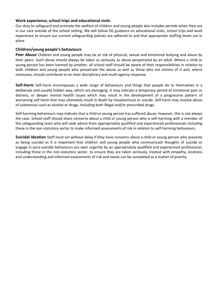## **Work experience, school trips and educational visits**

Our duty to safeguard and promote the welfare of children and young people also includes periods when they are in our care outside of the school setting. We will follow DE guidance on educational visits, school trips and work experience to ensure our current safeguarding policies are adhered to and that appropriate staffing levels are in place.

## **Children/young people's behaviours**

**Peer Abuse** Children and young people may be at risk of physical, sexual and emotional bullying and abuse by their peers. Such abuse should always be taken as seriously as abuse perpetrated by an adult. Where a child or young person has been harmed by another, all school staff should be aware of their responsibilities in relation to both children and young people who perpetrate the abuse as well as those who are victims of it and, where necessary, should contribute to an inter-disciplinary and multi-agency response.

**Self-Harm** Self-harm encompasses a wide range of behaviours and things that people do to themselves in a deliberate and usually hidden way, which are damaging. It may indicate a temporary period of emotional pain or distress, or deeper mental health issues which may result in the development of a progressive pattern of worsening self-harm that may ultimately result in death by misadventure or suicide. Self-harm may involve abuse of substances such as alcohol or drugs, including both illegal and/or prescribed drugs.

Self-harming behaviours may indicate that a child or young person has suffered abuse; however, this is not always the case. School staff should share concerns about a child or young person who is self-harming with a member of the safeguarding team who will seek advice from appropriately qualified and experienced professionals including those in the non-statutory sector to make informed assessments of risk in relation to self-harming behaviours.

**Suicidal Ideation** Staff must act without delay if they have concerns about a child or young person who presents as being suicidal as it is important that children and young people who communicate thoughts of suicide or engage in para-suicidal behaviours are seen urgently by an appropriately qualified and experienced professional, including those in the non-statutory sector, to ensure they are taken seriously, treated with empathy, kindness and understanding and informed assessments of risk and needs can be completed as a matter of priority.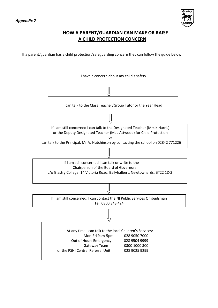

## **HOW A PARENT/GUARDIAN CAN MAKE OR RAISE A CHILD PROTECTION CONCERN**

If a parent/guardian has a child protection/safeguarding concern they can follow the guide below:

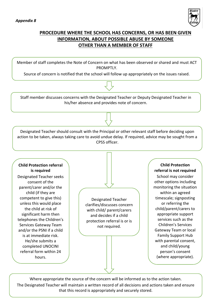

## **PROCEDURE WHERE THE SCHOOL HAS CONCERNS, OR HAS BEEN GIVEN INFORMATION, ABOUT POSSIBLE ABUSE BY SOMEONE OTHER THAN A MEMBER OF STAFF**

Member of staff completes the Note of Concern on what has been observed or shared and must ACT PROMPTLY.

Source of concern is notified that the school will follow up appropriately on the issues raised.

Staff member discusses concerns with the Designated Teacher or Deputy Designated Teacher in his/her absence and provides note of concern.

Designated Teacher should consult with the Principal or other relevant staff before deciding upon action to be taken, always taking care to avoid undue delay. If required, advice may be sought from a CPSS officer.

## **Child Protection referral is required**

Designated Teacher seeks consent of the parent/carer and/or the child (if they are competent to give this) unless this would place the child at risk of significant harm then telephones the Children's Services Gateway Team and/or the PSNI if a child is at immediate risk. He/she submits a completed UNOCINI referral form within 24 hours.

Designated Teacher clarifies/discusses concern with child/ parent/carers and decides if a child protection referral is or is not required.

**Child Protection referral is not required**

School may consider other options including monitoring the situation within an agreed timescale; signposting or referring the child/parent/carers to appropriate support services such as the Children's Services Gateway Team or local Family Support Hub with parental consent, and child/young person's consent (where appropriate).

Where appropriate the source of the concern will be informed as to the action taken. The Designated Teacher will maintain a written record of all decisions and actions taken and ensure that this record is appropriately and securely stored.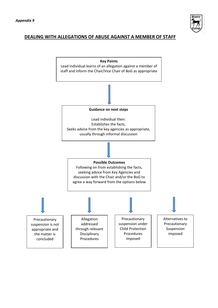

## **DEALING WITH ALLEGATIONS OF ABUSE AGAINST A MEMBER OF STAFF**

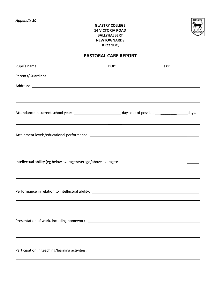

## **GLASTRY COLLEGE 14 VICTORIA ROAD BALLYHALBERT NEWTOWNARDS BT22 1DQ**

## **PASTORAL CARE REPORT**

| ,我们也不会有什么。""我们的人,我们也不会有什么?""我们的人,我们也不会有什么?""我们的人,我们也不会有什么?""我们的人,我们也不会有什么?""我们的人                                                                                                                          |  |
|-----------------------------------------------------------------------------------------------------------------------------------------------------------------------------------------------------------|--|
| Attendance in current school year: _________________________________days out of possible ____________________days.                                                                                        |  |
| <u> 2001 - Andrea Andrew Maria (a chemica al chemica al chemica al chemica al chemica al chemica al chemica al ch</u>                                                                                     |  |
|                                                                                                                                                                                                           |  |
| ,我们也不会有什么。""我们的人,我们也不会有什么?""我们的人,我们也不会有什么?""我们的人,我们也不会有什么?""我们的人,我们也不会有什么?""我们的人                                                                                                                          |  |
|                                                                                                                                                                                                           |  |
|                                                                                                                                                                                                           |  |
| ,我们也不会有什么。""我们的人,我们也不会有什么?""我们的人,我们也不会有什么?""我们的人,我们也不会有什么?""我们的人,我们也不会有什么?""我们的人<br><u> 1989 - Johann Stoff, deutscher Stoffen und der Stoffen und der Stoffen und der Stoffen und der Stoffen und de</u> |  |
|                                                                                                                                                                                                           |  |
| ,我们也不会有什么?""我们的人,我们也不会有什么?""我们的人,我们也不会有什么?""我们的人,我们也不会有什么?""我们的人,我们也不会有什么?""我们的人                                                                                                                          |  |
|                                                                                                                                                                                                           |  |
|                                                                                                                                                                                                           |  |
|                                                                                                                                                                                                           |  |
|                                                                                                                                                                                                           |  |
|                                                                                                                                                                                                           |  |
| Participation in teaching/learning activities: _________________________________                                                                                                                          |  |
|                                                                                                                                                                                                           |  |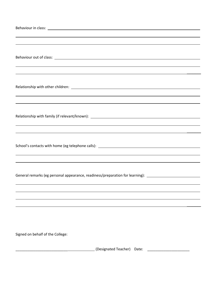| ,我们也不会有什么。""我们的人,我们也不会有什么?""我们的人,我们也不会有什么?""我们的人,我们也不会有什么?""我们的人,我们也不会有什么?""我们的人                                                                                                                                               |  |  |
|--------------------------------------------------------------------------------------------------------------------------------------------------------------------------------------------------------------------------------|--|--|
| Relationship with family (if relevant/known): Network and the set of the set of the set of the set of the set of the set of the set of the set of the set of the set of the set of the set of the set of the set of the set of |  |  |
| ,我们也不会有什么。""我们的人,我们也不会有什么?""我们的人,我们也不会有什么?""我们的人,我们也不会有什么?""我们的人,我们也不会有什么?""我们的人                                                                                                                                               |  |  |
| ,我们也不会有什么?""我们的人,我们也不会有什么?""我们的人,我们也不会有什么?""我们的人,我们也不会有什么?""我们的人,我们也不会有什么?""我们的人<br>General remarks (eg personal appearance, readiness/preparation for learning): _______________________________                              |  |  |
|                                                                                                                                                                                                                                |  |  |
| Signed on behalf of the College:                                                                                                                                                                                               |  |  |
| (Designated Teacher) Date:                                                                                                                                                                                                     |  |  |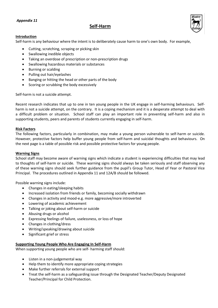## *Appendix 11*

## **Self-Harm**



## **Introduction**

Self-harm is any behaviour where the intent is to deliberately cause harm to one's own body. For example,

- Cutting, scratching, scraping or picking skin
- Swallowing inedible objects
- Taking an overdose of prescription or non-prescription drugs
- Swallowing hazardous materials or substances
- **•** Burning or scalding
- Pulling out hair/eyelashes
- Banging or hitting the head or other parts of the body
- Scoring or scrubbing the body excessively

Self-harm is not a suicide attempt.

Recent research indicates that up to one in ten young people in the UK engage in self-harming behaviours. Selfharm is not a suicide attempt, on the contrary. It is a coping mechanism and it is a desperate attempt to deal with a difficult problem or situation. School staff can play an important role in preventing self-harm and also in supporting students, peers and parents of students currently engaging in self-harm.

## **Risk Factors**

The following factors, particularly in combination, may make a young person vulnerable to self-harm or suicide. However, protective factors help buffer young people from self-harm and suicidal thoughts and behaviours. On the next page is a table of possible risk and possible protective factors for young people.

## **Warning Signs**

School staff may become aware of warning signs which indicate a student is experiencing difficulties that may lead to thoughts of self-harm or suicide. These warning signs should always be taken seriously and staff observing any of these warning signs should seek further guidance from the pupil's Group Tutor, Head of Year or Pastoral Vice Principal. The procedures outlined in Appendix 11 and 12A/B should be followed.

Possible warning signs include:

- Changes in eating/sleeping habits
- Increased isolation from friends or family, becoming socially withdrawn
- Changes in activity and mood-e.g. more aggressive/more introverted
- Lowering of academic achievement
- Talking or joking about self-harm or suicide
- Abusing drugs or alcohol
- Expressing feelings of failure, uselessness, or loss of hope
- Changes in clothing/dress
- Writing/speaking/drawing about suicide
- Significant grief or stress

## **Supporting Young People Who Are Engaging In Self-Harm**

When supporting young people who are self- harming staff should:

- Listen in a non-judgemental way
- Help them to identify more appropriate coping strategies
- Make further referrals for external support
- Treat the self-harm as a safeguarding issue through the Designated Teacher/Deputy Designated Teacher/Principal for Child Protection.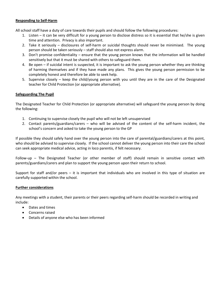## **Responding to Self-Harm**

All school staff have a duty of care towards their pupils and should follow the following procedures:

- 1. Listen it can be very difficult for a young person to disclose distress so it is essential that he/she is given time and attention. Privacy is also important.
- 2. Take it seriously disclosures of self-harm or suicidal thoughts should never be minimised. The young person should be taken seriously – staff should also not express alarm.
- 3. Don't promise confidentiality ensure that the young person knows that the information will be handled sensitively but that it must be shared with others to safeguard them.
- 4. Be open if suicidal intent is suspected, it is important to ask the young person whether they are thinking of harming themselves and if they have made any plans. This gives the young person permission to be completely honest and therefore be able to seek help.
- 5. Supervise closely keep the child/young person with you until they are in the care of the Designated teacher for Child Protection (or appropriate alternative).

## **Safeguarding The Pupil**

The Designated Teacher for Child Protection (or appropriate alternative) will safeguard the young person by doing the following:

- 1. Continuing to supervise closely the pupil who will not be left unsupervised
- 2. Contact parents/guardians/carers who will be advised of the content of the self-harm incident, the school's concern and asked to take the young person to the GP

If possible they should safely hand over the young person into the care of parental/guardians/carers at this point, who should be advised to supervise closely. If the school cannot deliver the young person into their care the school can seek appropriate medical advice, acting in loco parentis, if felt necessary.

Follow-up – The Designated Teacher (or other member of staff) should remain in sensitive contact with parents/guardians/carers and plan to support the young person upon their return to school.

Support for staff and/or peers – it is important that individuals who are involved in this type of situation are carefully supported within the school.

## **Further considerations**

Any meetings with a student, their parents or their peers regarding self-harm should be recorded in writing and include:

- Dates and times
- Concerns raised
- Details of anyone else who has been informed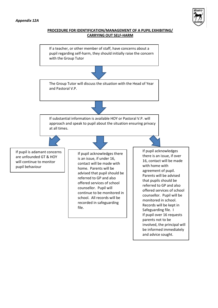

## **PROCEDURE FOR IDENTIFICATION/MANAGEMENT OF A PUPIL EXHIBITING/ CARRYING OUT SELF-HARM**



involved, the principal will be informed immediately and advice sought. parents not to be

e